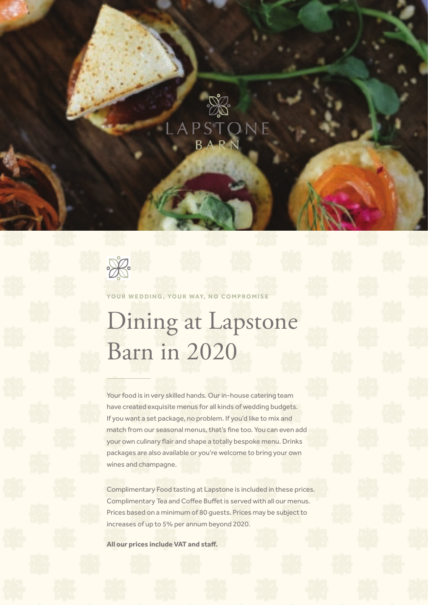



### YOUR WEDDING, YOUR WAY, NO COMPROMISE

# Dining at Lapstone Barn in 2020

Your food is in very skilled hands. Our in-house catering team have created exquisite menus for all kinds of wedding budgets. If you want a set package, no problem. If you'd like to mix and match from our seasonal menus, that's fine too. You can even add your own culinary flair and shape a totally bespoke menu. Drinks packages are also available or you're welcome to bring your own wines and champagne.

Complimentary Food tasting at Lapstone is included in these prices. Complimentary Tea and Coffee Buffet is served with all our menus. Prices based on a minimum of 80 guests. Prices may be subject to increases of up to 5% per annum beyond 2020.

**All our prices include VAT and staff.**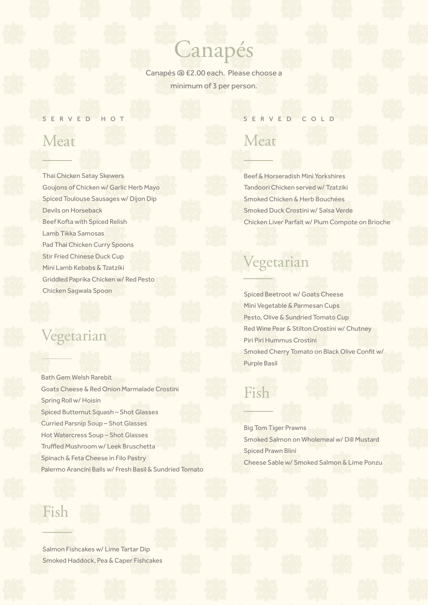## Canapés

Canapés @ £2.00 each. Please choose a minimum of 3 per person.

### SERVED HOT

## Meat

Thai Chicken Satay Skewers Goujons of Chicken w/ Garlic Herb Mayo Spiced Toulouse Sausages w/ Dijon Dip Devils on Horseback Beef Kofta with Spiced Relish Lamb Tikka Samosas Pad Thai Chicken Curry Spoons Stir Fried Chinese Duck Cup Mini Lamb Kebabs & Tzatziki Griddled Paprika Chicken w/ Red Pesto Chicken Sagwala Spoon

### Vegetarian

Bath Gem Welsh Rarebit Goats Cheese & Red Onion Marmalade Crostini Spring Roll w/ Hoisin Spiced Butternut Squash – Shot Glasses Curried Parsnip Soup – Shot Glasses Hot Watercress Soup – Shot Glasses Truffled Mushroom w/ Leek Bruschetta Spinach & Feta Cheese in Filo Pastry Palermo Arancini Balls w/ Fresh Basil & Sundried Tomato

## Fish

Salmon Fishcakes w/ Lime Tartar Dip Smoked Haddock, Pea & Caper Fishcakes

### SERVED COLD

### Meat

Beef & Horseradish Mini Yorkshires Tandoori Chicken served w/ Tzatziki Smoked Chicken & Herb Bouchées Smoked Duck Crostini w/ Salsa Verde Chicken Liver Parfait w/ Plum Compote on Brioche

## Vegetarian

Spiced Beetroot w/ Goats Cheese Mini Vegetable & Parmesan Cups Pesto, Olive & Sundried Tomato Cup Red Wine Pear & Stilton Crostini w/ Chutney Piri Piri Hummus Crostini Smoked Cherry Tomato on Black Olive Confit w/ Purple Basil

### Fish

Big Tom Tiger Prawns Smoked Salmon on Wholemeal w/ Dill Mustard Spiced Prawn Blini Cheese Sable w/ Smoked Salmon & Lime Ponzu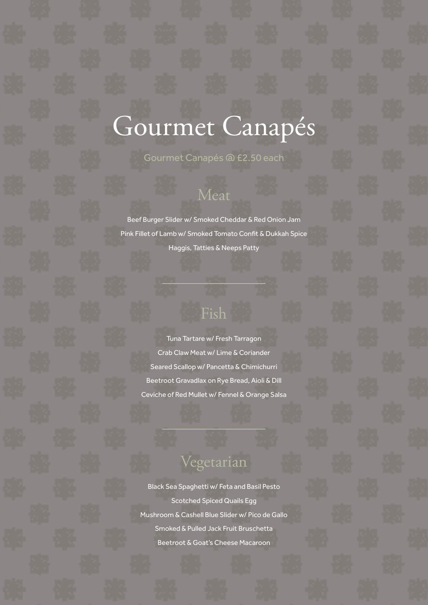# Gourmet Canapés

**Gourmet Canapés @ £2.50 each** 

## Meat

Beef Burger Slider w/ Smoked Cheddar & Red Onion Jam Pink Fillet of Lamb w/ Smoked Tomato Confit & Dukkah Spice Haggis, Tatties & Neeps Patty

## Fish

Tuna Tartare w/ Fresh Tarragon Crab Claw Meat w/ Lime & Coriander Seared Scallop w/ Pancetta & Chimichurri Beetroot Gravadlax on Rye Bread, Aioli & Dill Ceviche of Red Mullet w/ Fennel & Orange Salsa

## Vegetarian

Black Sea Spaghetti w/ Feta and Basil Pesto Scotched Spiced Quails Egg Mushroom & Cashell Blue Slider w/ Pico de Gallo Smoked & Pulled Jack Fruit Bruschetta Beetroot & Goat's Cheese Macaroon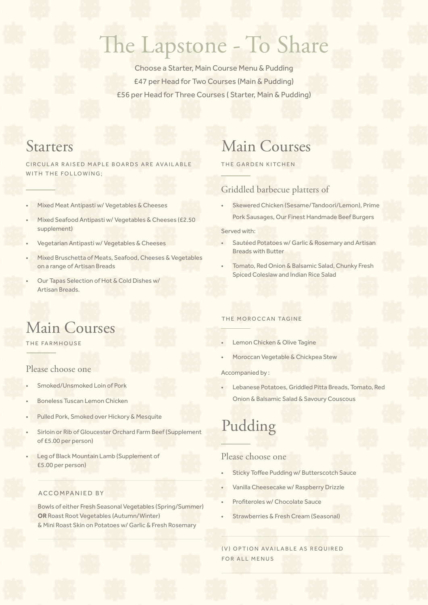## The Lapstone - To Share

Choose a Starter, Main Course Menu & Pudding £47 per Head for Two Courses (Main & Pudding) £56 per Head for Three Courses ( Starter, Main & Pudding)

CIRCULAR RAISED MAPLE BOARDS ARE AVAILABLE WITH THE FOLLOWING;

- Mixed Meat Antipasti w/ Vegetables & Cheeses
- Mixed Seafood Antipasti w/ Vegetables & Cheeses (£2.50 supplement)
- Vegetarian Antipasti w/ Vegetables & Cheeses
- Mixed Bruschetta of Meats, Seafood, Cheeses & Vegetables on a range of Artisan Breads
- Our Tapas Selection of Hot & Cold Dishes w/ Artisan Breads.

## Starters Main Courses

THE GARDEN KITCHEN

### Griddled barbecue platters of

• Skewered Chicken (Sesame/Tandoori/Lemon), Prime Pork Sausages, Our Finest Handmade Beef Burgers

Served with:

- Sautéed Potatoes w/ Garlic & Rosemary and Artisan Breads with Butter
- Tomato, Red Onion & Balsamic Salad, Chunky Fresh Spiced Coleslaw and Indian Rice Salad

## Main Courses

THE FARMHOUSE

### Please choose one

- Smoked/Unsmoked Loin of Pork
- Boneless Tuscan Lemon Chicken
- Pulled Pork, Smoked over Hickory & Mesquite
- Sirloin or Rib of Gloucester Orchard Farm Beef (Supplement of £5.00 per person)
- Leg of Black Mountain Lamb (Supplement of £5.00 per person)

#### ACCOMPANIED BY

Bowls of either Fresh Seasonal Vegetables (Spring/Summer) **OR** Roast Root Vegetables (Autumn/Winter) & Mini Roast Skin on Potatoes w/ Garlic & Fresh Rosemary

### THE MOROCCAN TAGINE

- Lemon Chicken & Olive Tagine
- Moroccan Vegetable & Chickpea Stew

Accompanied by :

• Lebanese Potatoes, Griddled Pitta Breads, Tomato, Red Onion & Balsamic Salad & Savoury Couscous

## Pudding

### Please choose one

- Sticky Toffee Pudding w/ Butterscotch Sauce
- Vanilla Cheesecake w/ Raspberry Drizzle
- Profiteroles w/ Chocolate Sauce
- Strawberries & Fresh Cream (Seasonal)

(V) OPTION AVAILABLE AS REQUIRED FOR ALL MENUS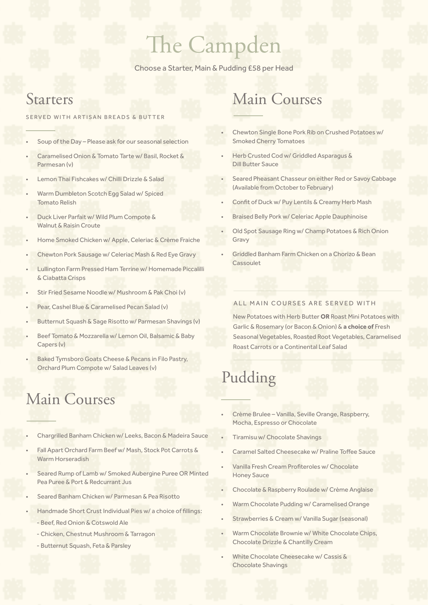## The Campden

Choose a Starter, Main & Pudding £58 per Head

### Starters

#### SERVED WITH ARTISAN BREADS & BUTTER

- Soup of the Day Please ask for our seasonal selection
- Caramelised Onion & Tomato Tarte w/ Basil, Rocket & Parmesan (v)
- Lemon Thai Fishcakes w/ Chilli Drizzle & Salad
- Warm Dumbleton Scotch Egg Salad w/ Spiced Tomato Relish
- Duck Liver Parfait w/ Wild Plum Compote & Walnut & Raisin Croute
- Home Smoked Chicken w/ Apple, Celeriac & Crème Fraiche
- Chewton Pork Sausage w/ Celeriac Mash & Red Eye Gravy
- Lullington Farm Pressed Ham Terrine w/ Homemade Piccalilli & Ciabatta Crisps
- Stir Fried Sesame Noodle w/ Mushroom & Pak Choi (v)
- Pear, Cashel Blue & Caramelised Pecan Salad (v)
- Butternut Squash & Sage Risotto w/ Parmesan Shavings (v)
- Beef Tomato & Mozzarella w/ Lemon Oil, Balsamic & Baby Capers (v)
- Baked Tymsboro Goats Cheese & Pecans in Filo Pastry, Orchard Plum Compote w/ Salad Leaves (v)

## Main Courses

- Chargrilled Banham Chicken w/ Leeks, Bacon & Madeira Sauce
- Fall Apart Orchard Farm Beef w/ Mash, Stock Pot Carrots & Warm Horseradish
- Seared Rump of Lamb w/ Smoked Aubergine Puree OR Minted Pea Puree & Port & Redcurrant Jus
- Seared Banham Chicken w/ Parmesan & Pea Risotto
- Handmade Short Crust Individual Pies w/ a choice of fillings:
	- Beef, Red Onion & Cotswold Ale
	- Chicken, Chestnut Mushroom & Tarragon
	- Butternut Squash, Feta & Parsley

## Main Courses

- Chewton Single Bone Pork Rib on Crushed Potatoes w/ Smoked Cherry Tomatoes
- Herb Crusted Cod w/ Griddled Asparagus & Dill Butter Sauce
- Seared Pheasant Chasseur on either Red or Savoy Cabbage (Available from October to February)
- Confit of Duck w/ Puy Lentils & Creamy Herb Mash
- Braised Belly Pork w/ Celeriac Apple Dauphinoise
- Old Spot Sausage Ring w/ Champ Potatoes & Rich Onion Gravy
- Griddled Banham Farm Chicken on a Chorizo & Bean Cassoulet

### ALL MAIN COURSES ARE SERVED WITH

New Potatoes with Herb Butter **OR** Roast Mini Potatoes with Garlic & Rosemary (or Bacon & Onion) & **a choice of** Fresh Seasonal Vegetables, Roasted Root Vegetables, Caramelised Roast Carrots or a Continental Leaf Salad

## Pudding

- Crème Brulee Vanilla, Seville Orange, Raspberry, Mocha, Espresso or Chocolate
- Tiramisu w/ Chocolate Shavings
- Caramel Salted Cheesecake w/ Praline Toffee Sauce
- Vanilla Fresh Cream Profiteroles w/ Chocolate Honey Sauce
	- Chocolate & Raspberry Roulade w/ Crème Anglaise
- Warm Chocolate Pudding w/ Caramelised Orange
- Strawberries & Cream w/ Vanilla Sugar (seasonal)
- Warm Chocolate Brownie w/ White Chocolate Chips, Chocolate Drizzle & Chantilly Cream
- White Chocolate Cheesecake w/ Cassis & Chocolate Shavings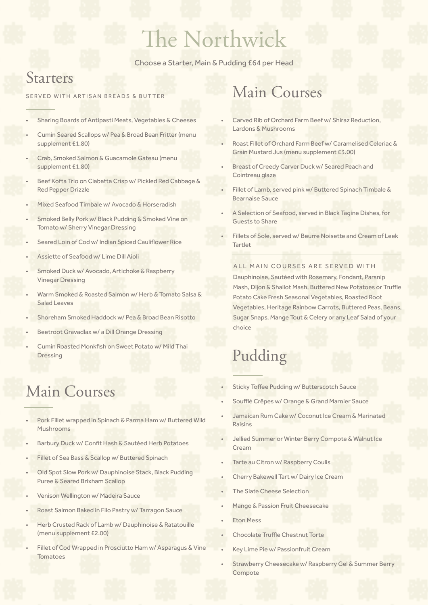# The Northwick

Choose a Starter, Main & Pudding £64 per Head

### Starters

#### SERVED WITH ARTISAN BREADS & BUTTER

- Sharing Boards of Antipasti Meats, Vegetables & Cheeses
- Cumin Seared Scallops w/ Pea & Broad Bean Fritter (menu supplement £1.80)
- Crab, Smoked Salmon & Guacamole Gateau (menu supplement £1.80)
- Beef Kofta Trio on Ciabatta Crisp w/ Pickled Red Cabbage & Red Pepper Drizzle
- Mixed Seafood Timbale w/ Avocado & Horseradish
- Smoked Belly Pork w/ Black Pudding & Smoked Vine on Tomato w/ Sherry Vinegar Dressing
- Seared Loin of Cod w/ Indian Spiced Cauliflower Rice
- Assiette of Seafood w/ Lime Dill Aioli
- Smoked Duck w/ Avocado, Artichoke & Raspberry Vinegar Dressing
- Warm Smoked & Roasted Salmon w/ Herb & Tomato Salsa & Salad Leaves
- Shoreham Smoked Haddock w/ Pea & Broad Bean Risotto
- Beetroot Gravadlax w/ a Dill Orange Dressing
- Cumin Roasted Monkfish on Sweet Potato w/ Mild Thai Dressing

## Main Courses

- Pork Fillet wrapped in Spinach & Parma Ham w/ Buttered Wild Mushrooms
- Barbury Duck w/ Confit Hash & Sautéed Herb Potatoes
- Fillet of Sea Bass & Scallop w/ Buttered Spinach
- Old Spot Slow Pork w/ Dauphinoise Stack, Black Pudding Puree & Seared Brixham Scallop
- Venison Wellington w/ Madeira Sauce
- Roast Salmon Baked in Filo Pastry w/ Tarragon Sauce
- Herb Crusted Rack of Lamb w/ Dauphinoise & Ratatouille (menu supplement £2.00)
- Fillet of Cod Wrapped in Prosciutto Ham w/ Asparagus & Vine Tomatoes

## Main Courses

- Carved Rib of Orchard Farm Beef w/ Shiraz Reduction, Lardons & Mushrooms
- Roast Fillet of Orchard Farm Beef w/ Caramelised Celeriac & Grain Mustard Jus (menu supplement £3.00)
- Breast of Creedy Carver Duck w/ Seared Peach and Cointreau glaze
- Fillet of Lamb, served pink w/ Buttered Spinach Timbale & Bearnaise Sauce
- A Selection of Seafood, served in Black Tagine Dishes, for Guests to Share
	- Fillets of Sole, served w/ Beurre Noisette and Cream of Leek Tartlet

### ALL MAIN COURSES ARE SERVED WITH

Dauphinoise, Sautéed with Rosemary, Fondant, Parsnip Mash, Dijon & Shallot Mash, Buttered New Potatoes or Truffle Potato Cake Fresh Seasonal Vegetables, Roasted Root Vegetables, Heritage Rainbow Carrots, Buttered Peas, Beans, Sugar Snaps, Mange Tout & Celery or any Leaf Salad of your choice

## Pudding

Sticky Toffee Pudding w/ Butterscotch Sauce

Soufflé Crêpes w/ Orange & Grand Marnier Sauce

- Jamaican Rum Cake w/ Coconut Ice Cream & Marinated Raisins
- Jellied Summer or Winter Berry Compote & Walnut Ice Cream
- Tarte au Citron w/ Raspberry Coulis
- Cherry Bakewell Tart w/ Dairy Ice Cream
- The Slate Cheese Selection
- Mango & Passion Fruit Cheesecake
- **Eton Mess**
- Chocolate Truffle Chestnut Torte
- Key Lime Pie w/ Passionfruit Cream
- Strawberry Cheesecake w/ Raspberry Gel & Summer Berry Compote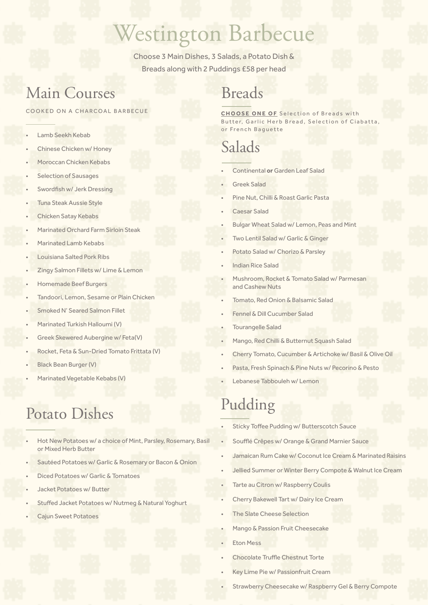## Westington Barbecue

Choose 3 Main Dishes, 3 Salads, a Potato Dish & Breads along with 2 Puddings £58 per head

## Main Courses

#### COOKED ON A CHARCOAL BARBECUE

- Lamb Seekh Kebab
- Chinese Chicken w/ Honey
- Moroccan Chicken Kebabs
- Selection of Sausages
- Swordfish w/ Jerk Dressing
- Tuna Steak Aussie Style
- Chicken Satay Kebabs
- Marinated Orchard Farm Sirloin Steak
- Marinated Lamb Kebabs
- Louisiana Salted Pork Ribs
- Zingy Salmon Fillets w/ Lime & Lemon
- Homemade Beef Burgers
- Tandoori, Lemon, Sesame or Plain Chicken
- Smoked N' Seared Salmon Fillet
- Marinated Turkish Halloumi (V)
- Greek Skewered Aubergine w/ Feta(V)
- Rocket, Feta & Sun-Dried Tomato Frittata (V)
- Black Bean Burger (V)
- Marinated Vegetable Kebabs (V)

# Potato Dishes Pudding

- Hot New Potatoes w/ a choice of Mint, Parsley, Rosemary, Basil or Mixed Herb Butter
- Sautéed Potatoes w/ Garlic & Rosemary or Bacon & Onion
- Diced Potatoes w/ Garlic & Tomatoes
- Jacket Potatoes w/ Butter
- Stuffed Jacket Potatoes w/ Nutmeg & Natural Yoghurt
- Cajun Sweet Potatoes

## Breads

**CHOOSE ONE OF** Selection of Breads with Butter, Garlic Herb Bread, Selection of Ciabatta, or French Baguette

## Salads

- Continental **or** Garden Leaf Salad
- Greek Salad
- Pine Nut, Chilli & Roast Garlic Pasta
- Caesar Salad
- Bulgar Wheat Salad w/ Lemon, Peas and Mint
- Two Lentil Salad w/ Garlic & Ginger
- Potato Salad w/ Chorizo & Parsley
- Indian Rice Salad
- Mushroom, Rocket & Tomato Salad w/ Parmesan and Cashew Nuts
- Tomato, Red Onion & Balsamic Salad
- Fennel & Dill Cucumber Salad
- Tourangelle Salad
- Mango, Red Chilli & Butternut Squash Salad
- Cherry Tomato, Cucumber & Artichoke w/ Basil & Olive Oil
- Pasta, Fresh Spinach & Pine Nuts w/ Pecorino & Pesto
- Lebanese Tabbouleh w/ Lemon

- Sticky Toffee Pudding w/ Butterscotch Sauce
- Soufflé Crêpes w/ Orange & Grand Marnier Sauce
- Jamaican Rum Cake w/ Coconut Ice Cream & Marinated Raisins
- Jellied Summer or Winter Berry Compote & Walnut Ice Cream
- Tarte au Citron w/ Raspberry Coulis
- Cherry Bakewell Tart w/ Dairy Ice Cream
- **The Slate Cheese Selection**
- Mango & Passion Fruit Cheesecake
- Eton Mess
- Chocolate Truffle Chestnut Torte
- Key Lime Pie w/ Passionfruit Cream
- Strawberry Cheesecake w/ Raspberry Gel & Berry Compote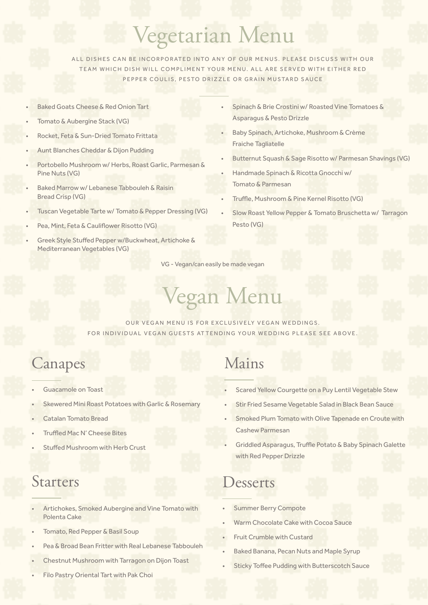# Vegetarian Menu

ALL DISHES CAN BE INCORPORATED INTO ANY OF OUR MENUS. PLEASE DISCUSS WITH OUR TEAM WHICH DISH WILL COMPLIMENT YOUR MENU. ALL ARE SERVED WITH EITHER RED PEPPER COULIS, PESTO DRIZZLE OR GRAIN MUSTARD SAUCE

- Baked Goats Cheese & Red Onion Tart
- Tomato & Aubergine Stack (VG)
- Rocket, Feta & Sun-Dried Tomato Frittata
- Aunt Blanches Cheddar & Dijon Pudding
- Portobello Mushroom w/ Herbs, Roast Garlic, Parmesan & Pine Nuts (VG)
- Baked Marrow w/ Lebanese Tabbouleh & Raisin Bread Crisp (VG)
- Tuscan Vegetable Tarte w/ Tomato & Pepper Dressing (VG)
- Pea, Mint, Feta & Cauliflower Risotto (VG)
- Greek Style Stuffed Pepper w/Buckwheat, Artichoke & Mediterranean Vegetables (VG)
- Spinach & Brie Crostini w/ Roasted Vine Tomatoes & Asparagus & Pesto Drizzle
- Baby Spinach, Artichoke, Mushroom & Crème Fraiche Tagliatelle
- Butternut Squash & Sage Risotto w/ Parmesan Shavings (VG)
- Handmade Spinach & Ricotta Gnocchi w/ Tomato & Parmesan
- Truffle, Mushroom & Pine Kernel Risotto (VG)
- Slow Roast Yellow Pepper & Tomato Bruschetta w/ Tarragon Pesto (VG)

VG - Vegan/can easily be made vegan

# Vegan Menu

OUR VEGAN MENU IS FOR EXCLUSIVELY VEGAN WEDDINGS. FOR INDIVIDUAL VEGAN GUESTS ATTENDING YOUR WEDDING PLEASE SEE ABOVE.

## Canapes Mains

- Guacamole on Toast
- Skewered Mini Roast Potatoes with Garlic & Rosemary
- Catalan Tomato Bread
- Truffled Mac N' Cheese Bites
- Stuffed Mushroom with Herb Crust

### Starters

- Artichokes, Smoked Aubergine and Vine Tomato with Polenta Cake
- Tomato, Red Pepper & Basil Soup
- Pea & Broad Bean Fritter with Real Lebanese Tabbouleh
- Chestnut Mushroom with Tarragon on Dijon Toast
- Filo Pastry Oriental Tart with Pak Choi

- Scared Yellow Courgette on a Puy Lentil Vegetable Stew
- Stir Fried Sesame Vegetable Salad in Black Bean Sauce
- Smoked Plum Tomato with Olive Tapenade en Croute with Cashew Parmesan
- Griddled Asparagus, Truffle Potato & Baby Spinach Galette with Red Pepper Drizzle

### Desserts

- Summer Berry Compote
- Warm Chocolate Cake with Cocoa Sauce
- Fruit Crumble with Custard
- Baked Banana, Pecan Nuts and Maple Syrup
- Sticky Toffee Pudding with Butterscotch Sauce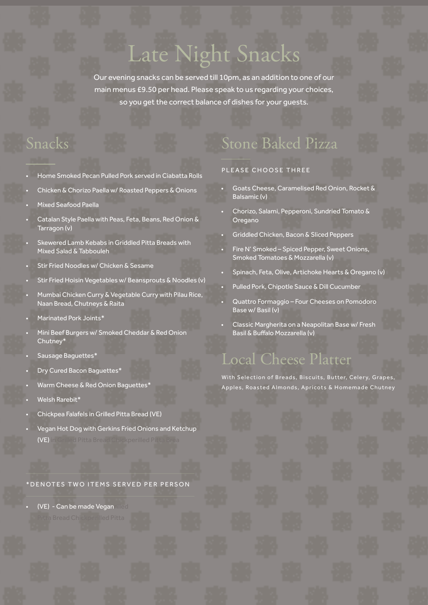# Late Night Snacks

Our evening snacks can be served till 10pm, as an addition to one of our main menus £9.50 per head. Please speak to us regarding your choices, so you get the correct balance of dishes for your guests.

## Snacks

- Home Smoked Pecan Pulled Pork served in Ciabatta Rolls
- Chicken & Chorizo Paella w/ Roasted Peppers & Onions
- Mixed Seafood Paella
- Catalan Style Paella with Peas, Feta, Beans, Red Onion & Tarragon (v)
- Skewered Lamb Kebabs in Griddled Pitta Breads with Mixed Salad & Tabbouleh
- Stir Fried Noodles w/ Chicken & Sesame
- Stir Fried Hoisin Vegetables w/ Beansprouts & Noodles (v)
- Mumbai Chicken Curry & Vegetable Curry with Pilau Rice, Naan Bread, Chutneys & Raita
- Marinated Pork Joints\*
- Mini Beef Burgers w/ Smoked Cheddar & Red Onion Chutney\*
- Sausage Baguettes\*
- Dry Cured Bacon Baguettes\*
- Warm Cheese & Red Onion Baguettes\*
- Welsh Rarebit\*
- Chickpea Falafels in Grilled Pitta Bread (VE)
- Vegan Hot Dog with Gerkins Fried Onions and Ketchup (VE) in Grilled Pitta Bread Chickperilled Pitta Brea

\*DENOTES TWO ITEMS SERVED PER PERSON

 $(VE) - Can be made Vegan$ 

## Stone Baked Pizza

#### PLEASE CHOOSE THREE

- Goats Cheese, Caramelised Red Onion, Rocket & Balsamic (v)
- Chorizo, Salami, Pepperoni, Sundried Tomato & Oregano
- Griddled Chicken, Bacon & Sliced Peppers
- Fire N' Smoked Spiced Pepper, Sweet Onions, Smoked Tomatoes & Mozzarella (v)
- Spinach, Feta, Olive, Artichoke Hearts & Oregano (v)
- Pulled Pork, Chipotle Sauce & Dill Cucumber
- Quattro Formaggio Four Cheeses on Pomodoro Base w/ Basil (v)
- Classic Margherita on a Neapolitan Base w/ Fresh Basil & Buffalo Mozzarella (v)

### Local Cheese Platter

With Selection of Breads, Biscuits, Butter, Celery, Grapes, Apples, Roasted Almonds, Apricots & Homemade Chutney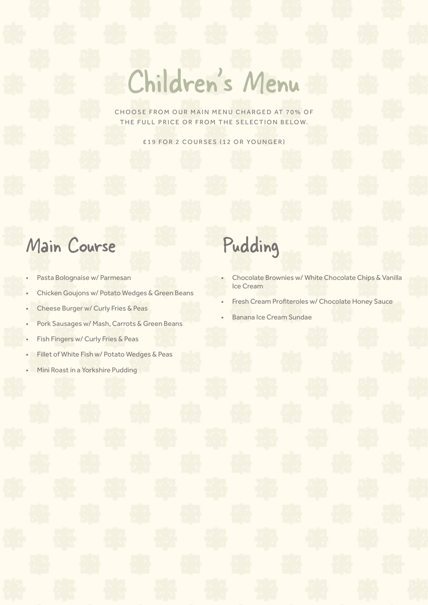# Children's Menu

CHOOSE FROM OUR MAIN MENU CHARGED AT 70% OF THE FULL PRICE OR FROM THE SELECTION BELOW.

£19 FOR 2 COURSES (12 OR YOUNGER)

## Main Course Pudding

- Pasta Bolognaise w/ Parmesan
- Chicken Goujons w/ Potato Wedges & Green Beans
- Cheese Burger w/ Curly Fries & Peas
- Pork Sausages w/ Mash, Carrots & Green Beans
- Fish Fingers w/ Curly Fries & Peas
- Fillet of White Fish w/ Potato Wedges & Peas
- Mini Roast in a Yorkshire Pudding

- Chocolate Brownies w/ White Chocolate Chips & Vanilla Ice Cream
- Fresh Cream Profiteroles w/ Chocolate Honey Sauce
- Banana Ice Cream Sundae